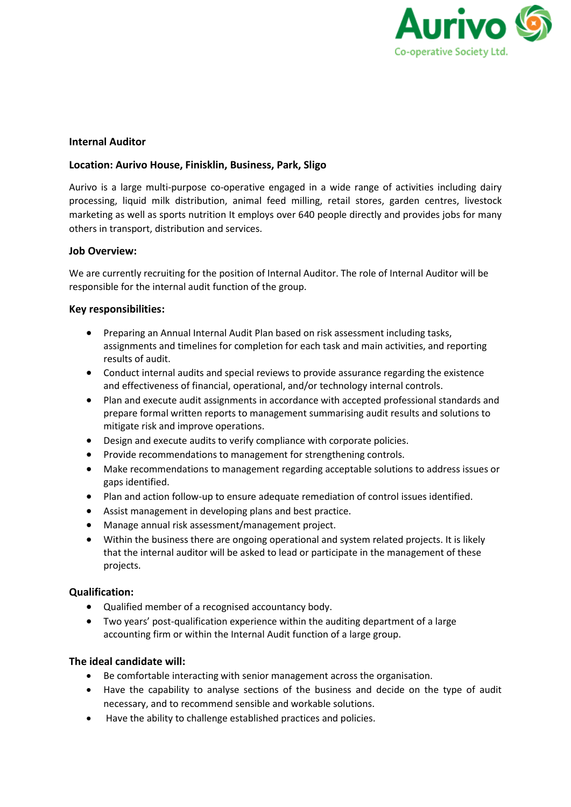

# **Internal Auditor**

## **Location: Aurivo House, Finisklin, Business, Park, Sligo**

Aurivo is a large multi-purpose co-operative engaged in a wide range of activities including dairy processing, liquid milk distribution, animal feed milling, retail stores, garden centres, livestock marketing as well as sports nutrition It employs over 640 people directly and provides jobs for many others in transport, distribution and services.

## **Job Overview:**

We are currently recruiting for the position of Internal Auditor. The role of Internal Auditor will be responsible for the internal audit function of the group.

## **Key responsibilities:**

- Preparing an Annual Internal Audit Plan based on risk assessment including tasks, assignments and timelines for completion for each task and main activities, and reporting results of audit.
- Conduct internal audits and special reviews to provide assurance regarding the existence and effectiveness of financial, operational, and/or technology internal controls.
- Plan and execute audit assignments in accordance with accepted professional standards and prepare formal written reports to management summarising audit results and solutions to mitigate risk and improve operations.
- Design and execute audits to verify compliance with corporate policies.
- Provide recommendations to management for strengthening controls.
- Make recommendations to management regarding acceptable solutions to address issues or gaps identified.
- Plan and action follow-up to ensure adequate remediation of control issues identified.
- Assist management in developing plans and best practice.
- Manage annual risk assessment/management project.
- Within the business there are ongoing operational and system related projects. It is likely that the internal auditor will be asked to lead or participate in the management of these projects.

### **Qualification:**

- Qualified member of a recognised accountancy body.
- Two years' post-qualification experience within the auditing department of a large accounting firm or within the Internal Audit function of a large group.

### **The ideal candidate will:**

- Be comfortable interacting with senior management across the organisation.
- Have the capability to analyse sections of the business and decide on the type of audit necessary, and to recommend sensible and workable solutions.
- Have the ability to challenge established practices and policies.